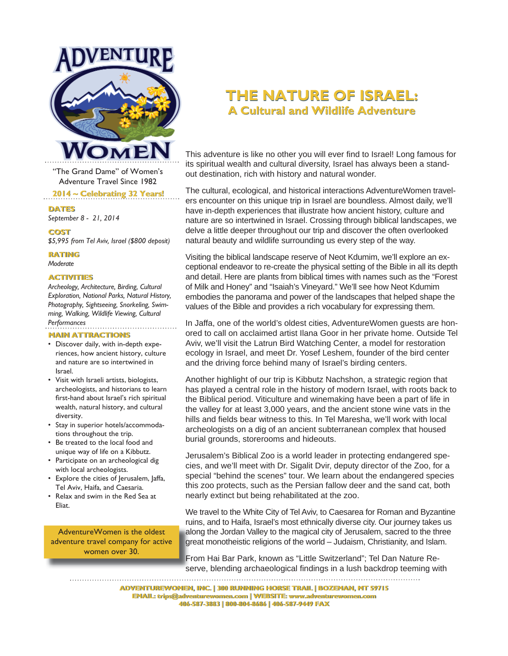

"The Grand Dame" of Women's Adventure Travel Since 1982

#### **2014 ~ Celebrating 32 Years! ~ Celebrating 32 Years!**

**DATES DATES**

*September 8 - 21, 2014*

#### **COST COST**

*\$5,995 from Tel Aviv, Israel (\$800 deposit)* 

#### **RATING RATING**

*Moderate*

#### **ACTIVITIES ACTIVITIES**

*Archeology, Architecture, Birding, Cultural Exploration, National Parks, Natural History, Photography, Sightseeing, Snorkeling, Swimming, Walking, Wildlife Viewing, Cultural Performances*

## **MAIN ATTRACTIONS MAIN ATTRACTIONS**

- Discover daily, with in-depth experiences, how ancient history, culture and nature are so intertwined in Israel.
- Visit with Israeli artists, biologists, archeologists, and historians to learn first-hand about Israel's rich spiritual wealth, natural history, and cultural diversity.
- Stay in superior hotels/accommodations throughout the trip.
- Be treated to the local food and unique way of life on a Kibbutz.
- Participate on an archeological dig with local archeologists.
- Explore the cities of Jerusalem, Jaffa, Tel Aviv, Haifa, and Caesaria.
- Relax and swim in the Red Sea at Eliat.

AdventureWomen is the oldest adventure travel company for active women over 30.

## **THE NATURE OF ISRAEL: THE NATURE OF ISRAEL: A Cultural and Wildlife Adventure A Cultural and Wildlife Adventure**

This adventure is like no other you will ever find to Israel! Long famous for its spiritual wealth and cultural diversity, Israel has always been a standout destination, rich with history and natural wonder.

The cultural, ecological, and historical interactions AdventureWomen travelers encounter on this unique trip in Israel are boundless. Almost daily, we'll have in-depth experiences that illustrate how ancient history, culture and nature are so intertwined in Israel. Crossing through biblical landscapes, we delve a little deeper throughout our trip and discover the often overlooked natural beauty and wildlife surrounding us every step of the way.

Visiting the biblical landscape reserve of Neot Kdumim, we'll explore an exceptional endeavor to re-create the physical setting of the Bible in all its depth and detail. Here are plants from biblical times with names such as the "Forest of Milk and Honey" and "Isaiah's Vineyard." We'll see how Neot Kdumim embodies the panorama and power of the landscapes that helped shape the values of the Bible and provides a rich vocabulary for expressing them.

In Jaffa, one of the world's oldest cities, AdventureWomen guests are honored to call on acclaimed artist Ilana Goor in her private home. Outside Tel Aviv, we'll visit the Latrun Bird Watching Center, a model for restoration ecology in Israel, and meet Dr. Yosef Leshem, founder of the bird center and the driving force behind many of Israel's birding centers.

Another highlight of our trip is Kibbutz Nachshon, a strategic region that has played a central role in the history of modern Israel, with roots back to the Biblical period. Viticulture and winemaking have been a part of life in the valley for at least 3,000 years, and the ancient stone wine vats in the hills and fields bear witness to this. In Tel Maresha, we'll work with local archeologists on a dig of an ancient subterranean complex that housed burial grounds, storerooms and hideouts.

Jerusalem's Biblical Zoo is a world leader in protecting endangered species, and we'll meet with Dr. Sigalit Dvir, deputy director of the Zoo, for a special "behind the scenes" tour. We learn about the endangered species this zoo protects, such as the Persian fallow deer and the sand cat, both nearly extinct but being rehabilitated at the zoo.

We travel to the White City of Tel Aviv, to Caesarea for Roman and Byzantine ruins, and to Haifa, Israel's most ethnically diverse city. Our journey takes us along the Jordan Valley to the magical city of Jerusalem, sacred to the three great monotheistic religions of the world – Judaism, Christianity, and Islam.

From Hai Bar Park, known as "Little Switzerland"; Tel Dan Nature Reserve, blending archaeological findings in a lush backdrop teeming with 

**ADVENTUREWOMEN, INC. | 300 RUNNING HORSE TRAIL | BOZEMAN, MT 59715 ADVENTUREWOMEN, INC. | 300 RUNNING HORSE TRAIL | BOZEMAN, MT 59715 EMAIL: trips@adventurewomen.com | WEBSITE: www.adventurewomen.com EMAIL: trips@adventurewomen.com | WEBSITE: www.adventurewomen.com 406-587-3883 | 800-804-8686 | 406-587-9449 FAX 406-587-3883 | 800-804-8686 | 406-587-9449 FAX**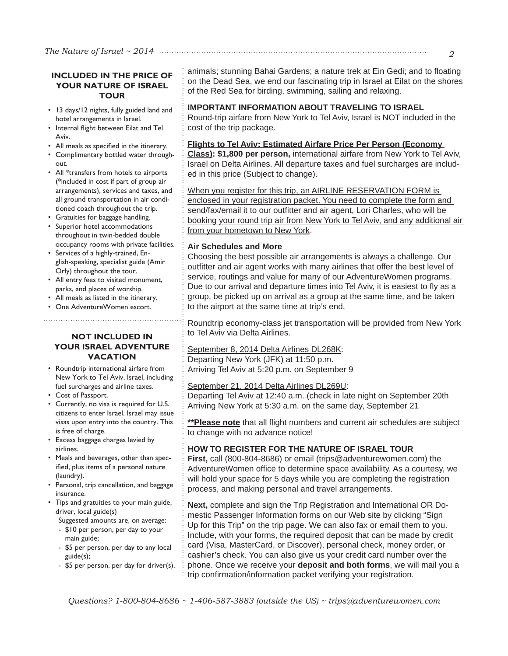## **INCLUDED IN THE PRICE OF YOUR NATURE OF ISRAEL TOUR**

- 13 days/12 nights, fully guided land and hotel arrangements in Israel.
- Internal flight between Eilat and Tel Aviv.
- All meals as specified in the itinerary.
- Complimentary bottled water throughout.
- All \*transfers from hotels to airports (\*included in cost if part of group air arrangements), services and taxes, and all ground transportation in air conditioned coach throughout the trip.
- Gratuities for baggage handling.
- Superior hotel accommodations throughout in twin-bedded double occupancy rooms with private facilities.
- Services of a highly-trained, English-speaking, specialist guide (Amir Orly) throughout the tour.
- All entry fees to visited monument, parks, and places of worship.
- All meals as listed in the itinerary.
- One AdventureWomen escort.

#### **NOT INCLUDED IN YOUR ISRAEL ADVENTURE VACATION**

- Roundtrip international airfare from New York to Tel Aviv, Israel, including fuel surcharges and airline taxes.
- Cost of Passport.
- Currently, no visa is required for U.S. citizens to enter Israel. Israel may issue visas upon entry into the country. This is free of charge.
- Excess baggage charges levied by airlines.
- Meals and beverages, other than specified, plus items of a personal nature (laundry).
- Personal, trip cancellation, and baggage insurance.
- Tips and gratuities to your main guide, driver, local guide(s)
	- Suggested amounts are, on average:
	- \$10 per person, per day to your main guide;
	- \$5 per person, per day to any local guide(s);
	- \$5 per person, per day for driver(s).

animals; stunning Bahai Gardens; a nature trek at Ein Gedi; and to floating on the Dead Sea, we end our fascinating trip in Israel at Eilat on the shores of the Red Sea for birding, swimming, sailing and relaxing.

#### **IMPORTANT INFORMATION ABOUT TRAVELING TO ISRAEL**

Round-trip airfare from New York to Tel Aviv, Israel is NOT included in the cost of the trip package.

#### **Flights to Tel Aviv: Estimated Airfare Price Per Person (Economy**

**Class): \$1,800 per person,** international airfare from New York to Tel Aviv, Israel on Delta Airlines. All departure taxes and fuel surcharges are included in this price (Subject to change).

When you register for this trip, an AIRLINE RESERVATION FORM is enclosed in your registration packet. You need to complete the form and send/fax/email it to our outfitter and air agent, Lori Charles, who will be booking your round trip air from New York to Tel Aviv, and any additional air from your hometown to New York.

#### **Air Schedules and More**

Choosing the best possible air arrangements is always a challenge. Our outfitter and air agent works with many airlines that offer the best level of service, routings and value for many of our AdventureWomen programs. Due to our arrival and departure times into Tel Aviv, it is easiest to fly as a group, be picked up on arrival as a group at the same time, and be taken to the airport at the same time at trip's end.

Roundtrip economy-class jet transportation will be provided from New York to Tel Aviv via Delta Airlines.

#### September 8, 2014 Delta Airlines DL268K: Departing New York (JFK) at 11:50 p.m. Arriving Tel Aviv at 5:20 p.m. on September 9

September 21, 2014 Delta Airlines DL269U:

Departing Tel Aviv at 12:40 a.m. (check in late night on September 20th Arriving New York at 5:30 a.m. on the same day, September 21

\*\***Please note** that all flight numbers and current air schedules are subject to change with no advance notice!

#### **HOW TO REGISTER FOR THE NATURE OF ISRAEL TOUR**

**First,** call (800-804-8686) or email (trips@adventurewomen.com) the AdventureWomen office to determine space availability. As a courtesy, we will hold your space for 5 days while you are completing the registration process, and making personal and travel arrangements.

**Next,** complete and sign the Trip Registration and International OR Domestic Passenger Information forms on our Web site by clicking "Sign Up for this Trip" on the trip page. We can also fax or email them to you. Include, with your forms, the required deposit that can be made by credit card (Visa, MasterCard, or Discover), personal check, money order, or cashier's check. You can also give us your credit card number over the phone. Once we receive your **deposit and both forms**, we will mail you a trip confirmation/information packet verifying your registration.

*2*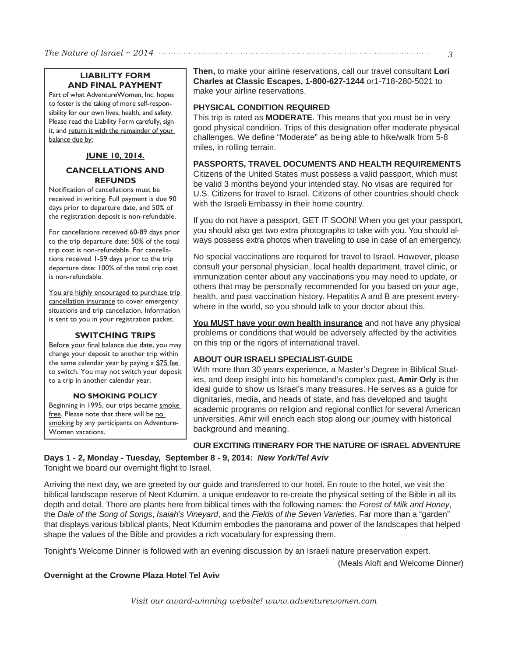## **LIABILITY FORM AND FINAL PAYMENT**

Part of what AdventureWomen, Inc. hopes to foster is the taking of more self-responsibility for our own lives, health, and safety. Please read the Liability Form carefully, sign it, and return it with the remainder of your balance due by:

## **JUNE 10, 2014.**

## **CANCELLATIONS AND REFUNDS**

Notification of cancellations must be received in writing. Full payment is due 90 days prior to departure date, and 50% of the registration deposit is non-refundable.

For cancellations received 60-89 days prior to the trip departure date: 50% of the total trip cost is non-refundable. For cancellations received 1-59 days prior to the trip departure date: 100% of the total trip cost is non-refundable.

You are highly encouraged to purchase trip cancellation insurance to cover emergency situations and trip cancellation. Information is sent to you in your registration packet.

## **SWITCHING TRIPS**

Before your final balance due date, you may change your deposit to another trip within the same calendar year by paying a \$75 fee to switch. You may not switch your deposit to a trip in another calendar year.

#### **NO SMOKING POLICY**

Beginning in 1995, our trips became smoke free. Please note that there will be no smoking by any participants on Adventure-Women vacations.

**Then,** to make your airline reservations, call our travel consultant **Lori Charles at Classic Escapes, 1-800-627-1244** or1-718-280-5021 to make your airline reservations.

## **PHYSICAL CONDITION REQUIRED**

This trip is rated as **MODERATE**. This means that you must be in very good physical condition. Trips of this designation offer moderate physical challenges. We define "Moderate" as being able to hike/walk from 5-8 miles, in rolling terrain.

## **PASSPORTS, TRAVEL DOCUMENTS AND HEALTH REQUIREMENTS**

Citizens of the United States must possess a valid passport, which must be valid 3 months beyond your intended stay. No visas are required for U.S. Citizens for travel to Israel. Citizens of other countries should check with the Israeli Embassy in their home country.

If you do not have a passport, GET IT SOON! When you get your passport, you should also get two extra photographs to take with you. You should always possess extra photos when traveling to use in case of an emergency.

No special vaccinations are required for travel to Israel. However, please consult your personal physician, local health department, travel clinic, or immunization center about any vaccinations you may need to update, or others that may be personally recommended for you based on your age, health, and past vaccination history. Hepatitis A and B are present everywhere in the world, so you should talk to your doctor about this.

**You MUST have your own health insurance** and not have any physical problems or conditions that would be adversely affected by the activities on this trip or the rigors of international travel.

## **ABOUT OUR ISRAELI SPECIALIST-GUIDE**

With more than 30 years experience, a Master's Degree in Biblical Studies, and deep insight into his homeland's complex past, **Amir Orly** is the ideal guide to show us Israel's many treasures. He serves as a guide for dignitaries, media, and heads of state, and has developed and taught academic programs on religion and regional conflict for several American universities. Amir will enrich each stop along our journey with historical background and meaning.

## **OUR EXCITING ITINERARY FOR THE NATURE OF ISRAEL ADVENTURE**

**Days 1 - 2, Monday - Tuesday, September 8 - 9, 2014:** *New York/Tel Aviv* Tonight we board our overnight flight to Israel.

Arriving the next day, we are greeted by our guide and transferred to our hotel. En route to the hotel, we visit the biblical landscape reserve of Neot Kdumim, a unique endeavor to re-create the physical setting of the Bible in all its depth and detail. There are plants here from biblical times with the following names: the *Forest of Milk and Honey*, the *Dale of the Song of Songs*, *Isaiah's Vineyard*, and the *Fields of the Seven Varieties*. Far more than a "garden" that displays various biblical plants, Neot Kdumim embodies the panorama and power of the landscapes that helped shape the values of the Bible and provides a rich vocabulary for expressing them.

Tonight's Welcome Dinner is followed with an evening discussion by an Israeli nature preservation expert.

(Meals Aloft and Welcome Dinner)

## **Overnight at the Crowne Plaza Hotel Tel Aviv**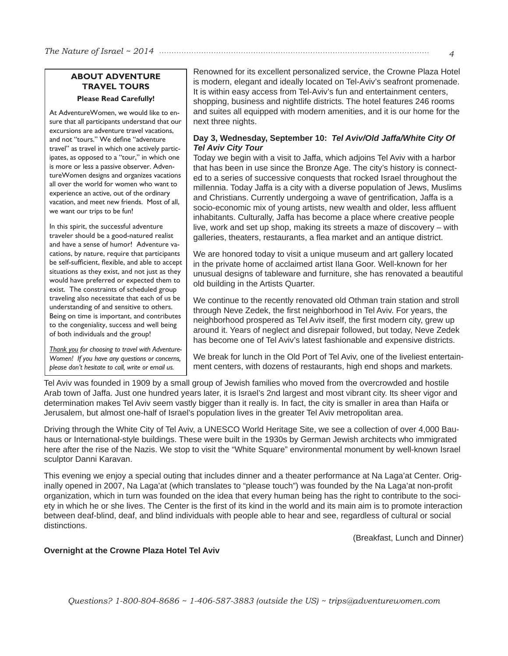*The Nature of Israel ~ 2014 4*

## **ABOUT ADVENTURE TRAVEL TOURS Please Read Carefully!**

At AdventureWomen, we would like to ensure that all participants understand that our excursions are adventure travel vacations, and not "tours." We define "adventure travel" as travel in which one actively participates, as opposed to a "tour," in which one is more or less a passive observer. AdventureWomen designs and organizes vacations all over the world for women who want to experience an active, out of the ordinary vacation, and meet new friends. Most of all, we want our trips to be fun!

In this spirit, the successful adventure traveler should be a good-natured realist and have a sense of humor! Adventure vacations, by nature, require that participants be self-sufficient, flexible, and able to accept situations as they exist, and not just as they would have preferred or expected them to exist. The constraints of scheduled group traveling also necessitate that each of us be understanding of and sensitive to others. Being on time is important, and contributes to the congeniality, success and well being of both individuals and the group!

*Thank you for choosing to travel with Adventure-Women! If you have any questions or concerns, please don't hesitate to call, write or email us.*

Renowned for its excellent personalized service, the Crowne Plaza Hotel is modern, elegant and ideally located on Tel-Aviv's seafront promenade. It is within easy access from Tel-Aviv's fun and entertainment centers, shopping, business and nightlife districts. The hotel features 246 rooms and suites all equipped with modern amenities, and it is our home for the next three nights.

## **Day 3, Wednesday, September 10:** *Tel Aviv/Old Jaffa/White City Of Tel Aviv City Tour*

Today we begin with a visit to Jaffa, which adjoins Tel Aviv with a harbor that has been in use since the Bronze Age. The city's history is connected to a series of successive conquests that rocked Israel throughout the millennia. Today Jaffa is a city with a diverse population of Jews, Muslims and Christians. Currently undergoing a wave of gentrification, Jaffa is a socio-economic mix of young artists, new wealth and older, less affluent inhabitants. Culturally, Jaffa has become a place where creative people live, work and set up shop, making its streets a maze of discovery – with galleries, theaters, restaurants, a flea market and an antique district.

We are honored today to visit a unique museum and art gallery located in the private home of acclaimed artist Ilana Goor. Well-known for her unusual designs of tableware and furniture, she has renovated a beautiful old building in the Artists Quarter.

We continue to the recently renovated old Othman train station and stroll through Neve Zedek, the first neighborhood in Tel Aviv. For years, the neighborhood prospered as Tel Aviv itself, the first modern city, grew up around it. Years of neglect and disrepair followed, but today, Neve Zedek has become one of Tel Aviv's latest fashionable and expensive districts.

We break for lunch in the Old Port of Tel Aviv, one of the liveliest entertainment centers, with dozens of restaurants, high end shops and markets.

Tel Aviv was founded in 1909 by a small group of Jewish families who moved from the overcrowded and hostile Arab town of Jaffa. Just one hundred years later, it is Israel's 2nd largest and most vibrant city. Its sheer vigor and determination makes Tel Aviv seem vastly bigger than it really is. In fact, the city is smaller in area than Haifa or Jerusalem, but almost one-half of Israel's population lives in the greater Tel Aviv metropolitan area.

Driving through the White City of Tel Aviv, a UNESCO World Heritage Site, we see a collection of over 4,000 Bauhaus or International-style buildings. These were built in the 1930s by German Jewish architects who immigrated here after the rise of the Nazis. We stop to visit the "White Square" environmental monument by well-known Israel sculptor Danni Karavan.

This evening we enjoy a special outing that includes dinner and a theater performance at Na Laga'at Center. Originally opened in 2007, Na Laga'at (which translates to "please touch") was founded by the Na Laga'at non-profit organization, which in turn was founded on the idea that every human being has the right to contribute to the society in which he or she lives. The Center is the first of its kind in the world and its main aim is to promote interaction between deaf-blind, deaf, and blind individuals with people able to hear and see, regardless of cultural or social distinctions.

(Breakfast, Lunch and Dinner)

#### **Overnight at the Crowne Plaza Hotel Tel Aviv**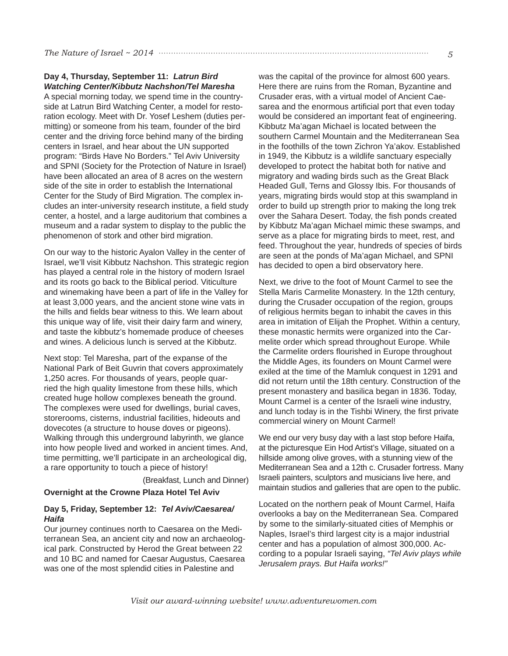#### **Day 4, Thursday, September 11:** *Latrun Bird Watching Center/Kibbutz Nachshon/Tel Maresha*

A special morning today, we spend time in the countryside at Latrun Bird Watching Center, a model for restoration ecology. Meet with Dr. Yosef Leshem (duties permitting) or someone from his team, founder of the bird center and the driving force behind many of the birding centers in Israel, and hear about the UN supported program: "Birds Have No Borders." Tel Aviv University and SPNI (Society for the Protection of Nature in Israel) have been allocated an area of 8 acres on the western side of the site in order to establish the International Center for the Study of Bird Migration. The complex includes an inter-university research institute, a field study center, a hostel, and a large auditorium that combines a museum and a radar system to display to the public the phenomenon of stork and other bird migration.

On our way to the historic Ayalon Valley in the center of Israel, we'll visit Kibbutz Nachshon. This strategic region has played a central role in the history of modern Israel and its roots go back to the Biblical period. Viticulture and winemaking have been a part of life in the Valley for at least 3,000 years, and the ancient stone wine vats in the hills and fields bear witness to this. We learn about this unique way of life, visit their dairy farm and winery, and taste the kibbutz's homemade produce of cheeses and wines. A delicious lunch is served at the Kibbutz.

Next stop: Tel Maresha, part of the expanse of the National Park of Beit Guvrin that covers approximately 1,250 acres. For thousands of years, people quarried the high quality limestone from these hills, which created huge hollow complexes beneath the ground. The complexes were used for dwellings, burial caves, storerooms, cisterns, industrial facilities, hideouts and dovecotes (a structure to house doves or pigeons). Walking through this underground labyrinth, we glance into how people lived and worked in ancient times. And, time permitting, we'll participate in an archeological dig, a rare opportunity to touch a piece of history!

(Breakfast, Lunch and Dinner)

#### **Overnight at the Crowne Plaza Hotel Tel Aviv**

#### **Day 5, Friday, September 12:** *Tel Aviv/Caesarea/ Haifa*

Our journey continues north to Caesarea on the Mediterranean Sea, an ancient city and now an archaeological park. Constructed by Herod the Great between 22 and 10 BC and named for Caesar Augustus, Caesarea was one of the most splendid cities in Palestine and

was the capital of the province for almost 600 years. Here there are ruins from the Roman, Byzantine and Crusader eras, with a virtual model of Ancient Caesarea and the enormous artificial port that even today would be considered an important feat of engineering. Kibbutz Ma'agan Michael is located between the southern Carmel Mountain and the Mediterranean Sea in the foothills of the town Zichron Ya'akov. Established in 1949, the Kibbutz is a wildlife sanctuary especially developed to protect the habitat both for native and migratory and wading birds such as the Great Black Headed Gull, Terns and Glossy Ibis. For thousands of years, migrating birds would stop at this swampland in order to build up strength prior to making the long trek over the Sahara Desert. Today, the fish ponds created by Kibbutz Ma'agan Michael mimic these swamps, and serve as a place for migrating birds to meet, rest, and feed. Throughout the year, hundreds of species of birds are seen at the ponds of Ma'agan Michael, and SPNI has decided to open a bird observatory here.

Next, we drive to the foot of Mount Carmel to see the Stella Maris Carmelite Monastery. In the 12th century, during the Crusader occupation of the region, groups of religious hermits began to inhabit the caves in this area in imitation of Elijah the Prophet. Within a century, these monastic hermits were organized into the Carmelite order which spread throughout Europe. While the Carmelite orders flourished in Europe throughout the Middle Ages, its founders on Mount Carmel were exiled at the time of the Mamluk conquest in 1291 and did not return until the 18th century. Construction of the present monastery and basilica began in 1836. Today, Mount Carmel is a center of the Israeli wine industry, and lunch today is in the Tishbi Winery, the first private commercial winery on Mount Carmel!

We end our very busy day with a last stop before Haifa, at the picturesque Ein Hod Artist's Village, situated on a hillside among olive groves, with a stunning view of the Mediterranean Sea and a 12th c. Crusader fortress. Many Israeli painters, sculptors and musicians live here, and maintain studios and galleries that are open to the public.

Located on the northern peak of Mount Carmel, Haifa overlooks a bay on the Mediterranean Sea. Compared by some to the similarly-situated cities of Memphis or Naples, Israel's third largest city is a major industrial center and has a population of almost 300,000. According to a popular Israeli saying, *"Tel Aviv plays while Jerusalem prays. But Haifa works!"*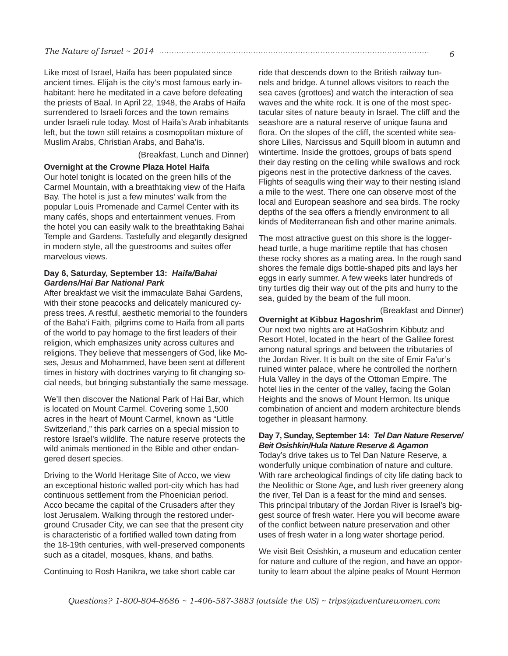## *The Nature of Israel ~ 2014 6*

Like most of Israel, Haifa has been populated since ancient times. Elijah is the city's most famous early inhabitant: here he meditated in a cave before defeating the priests of Baal. In April 22, 1948, the Arabs of Haifa surrendered to Israeli forces and the town remains under Israeli rule today. Most of Haifa's Arab inhabitants left, but the town still retains a cosmopolitan mixture of Muslim Arabs, Christian Arabs, and Baha'is.

(Breakfast, Lunch and Dinner)

## **Overnight at the Crowne Plaza Hotel Haifa**

Our hotel tonight is located on the green hills of the Carmel Mountain, with a breathtaking view of the Haifa Bay. The hotel is just a few minutes' walk from the popular Louis Promenade and Carmel Center with its many cafés, shops and entertainment venues. From the hotel you can easily walk to the breathtaking Bahai Temple and Gardens. Tastefully and elegantly designed in modern style, all the guestrooms and suites offer marvelous views.

## **Day 6, Saturday, September 13:** *Haifa/Bahai Gardens/Hai Bar National Park*

After breakfast we visit the immaculate Bahai Gardens, with their stone peacocks and delicately manicured cypress trees. A restful, aesthetic memorial to the founders of the Baha'i Faith, pilgrims come to Haifa from all parts of the world to pay homage to the first leaders of their religion, which emphasizes unity across cultures and religions. They believe that messengers of God, like Moses, Jesus and Mohammed, have been sent at different times in history with doctrines varying to fit changing social needs, but bringing substantially the same message.

We'll then discover the National Park of Hai Bar, which is located on Mount Carmel. Covering some 1,500 acres in the heart of Mount Carmel, known as "Little Switzerland," this park carries on a special mission to restore Israel's wildlife. The nature reserve protects the wild animals mentioned in the Bible and other endangered desert species.

Driving to the World Heritage Site of Acco, we view an exceptional historic walled port-city which has had continuous settlement from the Phoenician period. Acco became the capital of the Crusaders after they lost Jerusalem. Walking through the restored underground Crusader City, we can see that the present city is characteristic of a fortified walled town dating from the 18-19th centuries, with well-preserved components such as a citadel, mosques, khans, and baths.

Continuing to Rosh Hanikra, we take short cable car

ride that descends down to the British railway tunnels and bridge. A tunnel allows visitors to reach the sea caves (grottoes) and watch the interaction of sea waves and the white rock. It is one of the most spectacular sites of nature beauty in Israel. The cliff and the seashore are a natural reserve of unique fauna and flora. On the slopes of the cliff, the scented white seashore Lilies, Narcissus and Squill bloom in autumn and wintertime. Inside the grottoes, groups of bats spend their day resting on the ceiling while swallows and rock pigeons nest in the protective darkness of the caves. Flights of seagulls wing their way to their nesting island a mile to the west. There one can observe most of the local and European seashore and sea birds. The rocky depths of the sea offers a friendly environment to all kinds of Mediterranean fish and other marine animals.

The most attractive guest on this shore is the loggerhead turtle, a huge maritime reptile that has chosen these rocky shores as a mating area. In the rough sand shores the female digs bottle-shaped pits and lays her eggs in early summer. A few weeks later hundreds of tiny turtles dig their way out of the pits and hurry to the sea, guided by the beam of the full moon.

(Breakfast and Dinner)

### **Overnight at Kibbuz Hagoshrim**

Our next two nights are at HaGoshrim Kibbutz and Resort Hotel, located in the heart of the Galilee forest among natural springs and between the tributaries of the Jordan River. It is built on the site of Emir Fa'ur's ruined winter palace, where he controlled the northern Hula Valley in the days of the Ottoman Empire. The hotel lies in the center of the valley, facing the Golan Heights and the snows of Mount Hermon. Its unique combination of ancient and modern architecture blends together in pleasant harmony.

#### **Day 7, Sunday, September 14:** *Tel Dan Nature Reserve/ Beit Osishkin/Hula Nature Reserve & Agamon*

Today's drive takes us to Tel Dan Nature Reserve, a wonderfully unique combination of nature and culture. With rare archeological findings of city life dating back to the Neolithic or Stone Age, and lush river greenery along the river, Tel Dan is a feast for the mind and senses. This principal tributary of the Jordan River is Israel's biggest source of fresh water. Here you will become aware of the conflict between nature preservation and other uses of fresh water in a long water shortage period.

We visit Beit Osishkin, a museum and education center for nature and culture of the region, and have an opportunity to learn about the alpine peaks of Mount Hermon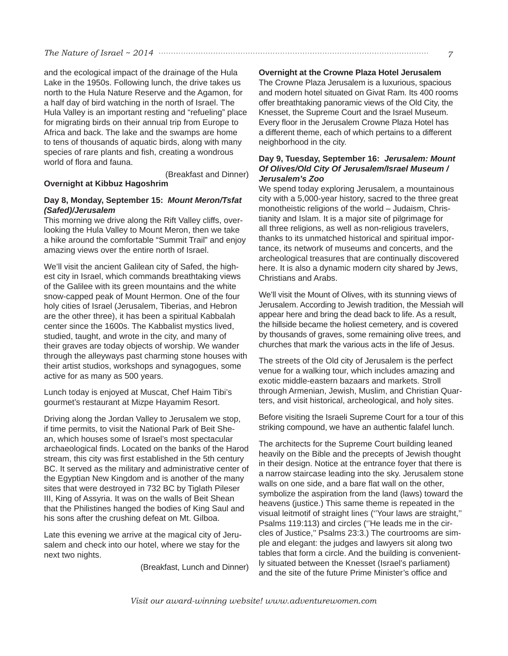and the ecological impact of the drainage of the Hula Lake in the 1950s. Following lunch, the drive takes us north to the Hula Nature Reserve and the Agamon, for a half day of bird watching in the north of Israel. The Hula Valley is an important resting and "refueling" place for migrating birds on their annual trip from Europe to Africa and back. The lake and the swamps are home to tens of thousands of aquatic birds, along with many species of rare plants and fish, creating a wondrous world of flora and fauna.

(Breakfast and Dinner)

**Overnight at Kibbuz Hagoshrim**

## **Day 8, Monday, September 15:** *Mount Meron/Tsfat (Safed)/Jerusalem*

This morning we drive along the Rift Valley cliffs, overlooking the Hula Valley to Mount Meron, then we take a hike around the comfortable "Summit Trail" and enjoy amazing views over the entire north of Israel.

We'll visit the ancient Galilean city of Safed, the highest city in Israel, which commands breathtaking views of the Galilee with its green mountains and the white snow-capped peak of Mount Hermon. One of the four holy cities of Israel (Jerusalem, Tiberias, and Hebron are the other three), it has been a spiritual Kabbalah center since the 1600s. The Kabbalist mystics lived, studied, taught, and wrote in the city, and many of their graves are today objects of worship. We wander through the alleyways past charming stone houses with their artist studios, workshops and synagogues, some active for as many as 500 years.

Lunch today is enjoyed at Muscat, Chef Haim Tibi's gourmet's restaurant at Mizpe Hayamim Resort.

Driving along the Jordan Valley to Jerusalem we stop, if time permits, to visit the National Park of Beit Shean, which houses some of Israel's most spectacular archaeological finds. Located on the banks of the Harod stream, this city was first established in the 5th century BC. It served as the military and administrative center of the Egyptian New Kingdom and is another of the many sites that were destroyed in 732 BC by Tiglath Pileser III, King of Assyria. It was on the walls of Beit Shean that the Philistines hanged the bodies of King Saul and his sons after the crushing defeat on Mt. Gilboa.

Late this evening we arrive at the magical city of Jerusalem and check into our hotel, where we stay for the next two nights.

(Breakfast, Lunch and Dinner)

**Overnight at the Crowne Plaza Hotel Jerusalem**

The Crowne Plaza Jerusalem is a luxurious, spacious and modern hotel situated on Givat Ram. Its 400 rooms offer breathtaking panoramic views of the Old City, the Knesset, the Supreme Court and the Israel Museum. Every floor in the Jerusalem Crowne Plaza Hotel has a different theme, each of which pertains to a different neighborhood in the city.

#### **Day 9, Tuesday, September 16:** *Jerusalem: Mount Of Olives/Old City Of Jerusalem/Israel Museum / Jerusalem's Zoo*

We spend today exploring Jerusalem, a mountainous city with a 5,000-year history, sacred to the three great monotheistic religions of the world – Judaism, Christianity and Islam. It is a major site of pilgrimage for all three religions, as well as non-religious travelers, thanks to its unmatched historical and spiritual importance, its network of museums and concerts, and the archeological treasures that are continually discovered here. It is also a dynamic modern city shared by Jews, Christians and Arabs.

We'll visit the Mount of Olives, with its stunning views of Jerusalem. According to Jewish tradition, the Messiah will appear here and bring the dead back to life. As a result, the hillside became the holiest cemetery, and is covered by thousands of graves, some remaining olive trees, and churches that mark the various acts in the life of Jesus.

The streets of the Old city of Jerusalem is the perfect venue for a walking tour, which includes amazing and exotic middle-eastern bazaars and markets. Stroll through Armenian, Jewish, Muslim, and Christian Quarters, and visit historical, archeological, and holy sites.

Before visiting the Israeli Supreme Court for a tour of this striking compound, we have an authentic falafel lunch.

The architects for the Supreme Court building leaned heavily on the Bible and the precepts of Jewish thought in their design. Notice at the entrance foyer that there is a narrow staircase leading into the sky. Jerusalem stone walls on one side, and a bare flat wall on the other, symbolize the aspiration from the land (laws) toward the heavens (justice.) This same theme is repeated in the visual leitmotif of straight lines (''Your laws are straight,'' Psalms 119:113) and circles ("He leads me in the circles of Justice,'' Psalms 23:3.) The courtrooms are simple and elegant: the judges and lawyers sit along two tables that form a circle. And the building is conveniently situated between the Knesset (Israel's parliament) and the site of the future Prime Minister's office and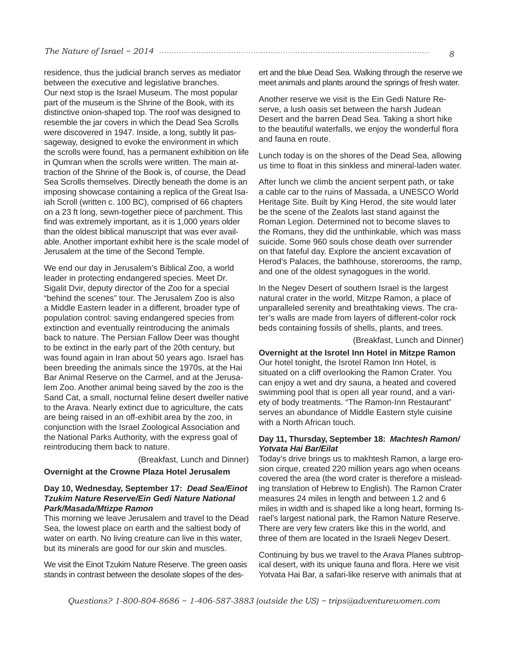#### *The Nature of Israel ~ 2014 8*

residence, thus the judicial branch serves as mediator between the executive and legislative branches. Our next stop is the Israel Museum. The most popular part of the museum is the Shrine of the Book, with its distinctive onion-shaped top. The roof was designed to resemble the jar covers in which the Dead Sea Scrolls were discovered in 1947. Inside, a long, subtly lit passageway, designed to evoke the environment in which the scrolls were found, has a permanent exhibition on life in Qumran when the scrolls were written. The main attraction of the Shrine of the Book is, of course, the Dead Sea Scrolls themselves. Directly beneath the dome is an imposing showcase containing a replica of the Great Isaiah Scroll (written c. 100 BC), comprised of 66 chapters on a 23 ft long, sewn-together piece of parchment. This find was extremely important, as it is 1,000 years older than the oldest biblical manuscript that was ever available. Another important exhibit here is the scale model of Jerusalem at the time of the Second Temple.

We end our day in Jerusalem's Biblical Zoo, a world leader in protecting endangered species. Meet Dr. Sigalit Dvir, deputy director of the Zoo for a special "behind the scenes" tour. The Jerusalem Zoo is also a Middle Eastern leader in a different, broader type of population control: saving endangered species from extinction and eventually reintroducing the animals back to nature. The Persian Fallow Deer was thought to be extinct in the early part of the 20th century, but was found again in Iran about 50 years ago. Israel has been breeding the animals since the 1970s, at the Hai Bar Animal Reserve on the Carmel, and at the Jerusalem Zoo. Another animal being saved by the zoo is the Sand Cat, a small, nocturnal feline desert dweller native to the Arava. Nearly extinct due to agriculture, the cats are being raised in an off-exhibit area by the zoo, in conjunction with the Israel Zoological Association and the National Parks Authority, with the express goal of reintroducing them back to nature.

(Breakfast, Lunch and Dinner)

#### **Overnight at the Crowne Plaza Hotel Jerusalem**

## **Day 10, Wednesday, September 17:** *Dead Sea/Einot Tzukim Nature Reserve/Ein Gedi Nature National Park/Masada/Mtizpe Ramon*

This morning we leave Jerusalem and travel to the Dead Sea, the lowest place on earth and the saltiest body of water on earth. No living creature can live in this water, but its minerals are good for our skin and muscles.

We visit the Einot Tzukim Nature Reserve. The green oasis stands in contrast between the desolate slopes of the desert and the blue Dead Sea. Walking through the reserve we meet animals and plants around the springs of fresh water.

Another reserve we visit is the Ein Gedi Nature Reserve, a lush oasis set between the harsh Judean Desert and the barren Dead Sea. Taking a short hike to the beautiful waterfalls, we enjoy the wonderful flora and fauna en route.

Lunch today is on the shores of the Dead Sea, allowing us time to float in this sinkless and mineral-laden water.

After lunch we climb the ancient serpent path, or take a cable car to the ruins of Massada, a UNESCO World Heritage Site. Built by King Herod, the site would later be the scene of the Zealots last stand against the Roman Legion. Determined not to become slaves to the Romans, they did the unthinkable, which was mass suicide. Some 960 souls chose death over surrender on that fateful day. Explore the ancient excavation of Herod's Palaces, the bathhouse, storerooms, the ramp, and one of the oldest synagogues in the world.

In the Negev Desert of southern Israel is the largest natural crater in the world, Mitzpe Ramon, a place of unparalleled serenity and breathtaking views. The crater's walls are made from layers of different-color rock beds containing fossils of shells, plants, and trees.

(Breakfast, Lunch and Dinner)

**Overnight at the Isrotel Inn Hotel in Mitzpe Ramon** Our hotel tonight, the Isrotel Ramon Inn Hotel, is situated on a cliff overlooking the Ramon Crater. You can enjoy a wet and dry sauna, a heated and covered swimming pool that is open all year round, and a variety of body treatments. "The Ramon-Inn Restaurant" serves an abundance of Middle Eastern style cuisine with a North African touch.

#### **Day 11, Thursday, September 18:** *Machtesh Ramon/ Yotvata Hai Bar/Eilat*

Today's drive brings us to makhtesh Ramon, a large erosion cirque, created 220 million years ago when oceans covered the area (the word crater is therefore a misleading translation of Hebrew to English). The Ramon Crater measures 24 miles in length and between 1.2 and 6 miles in width and is shaped like a long heart, forming Israel's largest national park, the Ramon Nature Reserve. There are very few craters like this in the world, and three of them are located in the Israeli Negev Desert.

Continuing by bus we travel to the Arava Planes subtropical desert, with its unique fauna and flora. Here we visit Yotvata Hai Bar, a safari-like reserve with animals that at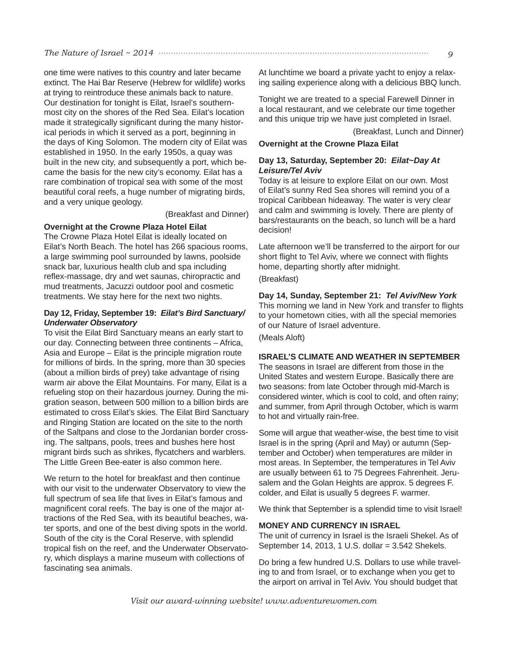## *The Nature of Israel ~ 2014*  $\cdots$ *9*

one time were natives to this country and later became extinct. The Hai Bar Reserve (Hebrew for wildlife) works at trying to reintroduce these animals back to nature. Our destination for tonight is Eilat, Israel's southernmost city on the shores of the Red Sea. Eilat's location made it strategically significant during the many historical periods in which it served as a port, beginning in the days of King Solomon. The modern city of Eilat was established in 1950. In the early 1950s, a quay was built in the new city, and subsequently a port, which became the basis for the new city's economy. Eilat has a rare combination of tropical sea with some of the most beautiful coral reefs, a huge number of migrating birds, and a very unique geology.

(Breakfast and Dinner)

## **Overnight at the Crowne Plaza Hotel Eilat**

The Crowne Plaza Hotel Eilat is ideally located on Eilat's North Beach. The hotel has 266 spacious rooms, a large swimming pool surrounded by lawns, poolside snack bar, luxurious health club and spa including reflex-massage, dry and wet saunas, chiropractic and mud treatments, Jacuzzi outdoor pool and cosmetic treatments. We stay here for the next two nights.

## **Day 12, Friday, September 19:** *Eilat's Bird Sanctuary/ Underwater Observatory*

To visit the Eilat Bird Sanctuary means an early start to our day. Connecting between three continents – Africa, Asia and Europe – Eilat is the principle migration route for millions of birds. In the spring, more than 30 species (about a million birds of prey) take advantage of rising warm air above the Eilat Mountains. For many, Eilat is a refueling stop on their hazardous journey. During the migration season, between 500 million to a billion birds are estimated to cross Eilat's skies. The Eilat Bird Sanctuary and Ringing Station are located on the site to the north of the Saltpans and close to the Jordanian border crossing. The saltpans, pools, trees and bushes here host migrant birds such as shrikes, flycatchers and warblers. The Little Green Bee-eater is also common here.

We return to the hotel for breakfast and then continue with our visit to the underwater Observatory to view the full spectrum of sea life that lives in Eilat's famous and magnificent coral reefs. The bay is one of the major attractions of the Red Sea, with its beautiful beaches, water sports, and one of the best diving spots in the world. South of the city is the Coral Reserve, with splendid tropical fish on the reef, and the Underwater Observatory, which displays a marine museum with collections of fascinating sea animals.

At lunchtime we board a private yacht to enjoy a relaxing sailing experience along with a delicious BBQ lunch.

Tonight we are treated to a special Farewell Dinner in a local restaurant, and we celebrate our time together and this unique trip we have just completed in Israel.

(Breakfast, Lunch and Dinner)

## **Overnight at the Crowne Plaza Eilat**

## **Day 13, Saturday, September 20:** *Eilat~Day At Leisure/Tel Aviv*

Today is at leisure to explore Eilat on our own. Most of Eilat's sunny Red Sea shores will remind you of a tropical Caribbean hideaway. The water is very clear and calm and swimming is lovely. There are plenty of bars/restaurants on the beach, so lunch will be a hard decision!

Late afternoon we'll be transferred to the airport for our short flight to Tel Aviv, where we connect with flights home, departing shortly after midnight.

## (Breakfast)

**Day 14, Sunday, September 21:** *Tel Aviv/New York* This morning we land in New York and transfer to flights to your hometown cities, with all the special memories of our Nature of Israel adventure. (Meals Aloft)

## **ISRAEL'S CLIMATE AND WEATHER IN SEPTEMBER**

The seasons in Israel are different from those in the United States and western Europe. Basically there are two seasons: from late October through mid-March is considered winter, which is cool to cold, and often rainy; and summer, from April through October, which is warm to hot and virtually rain-free.

Some will argue that weather-wise, the best time to visit Israel is in the spring (April and May) or autumn (September and October) when temperatures are milder in most areas. In September, the temperatures in Tel Aviv are usually between 61 to 75 Degrees Fahrenheit. Jerusalem and the Golan Heights are approx. 5 degrees F. colder, and Eilat is usually 5 degrees F. warmer.

We think that September is a splendid time to visit Israel!

#### **MONEY AND CURRENCY IN ISRAEL**

The unit of currency in Israel is the Israeli Shekel. As of September 14, 2013, 1 U.S. dollar = 3.542 Shekels.

Do bring a few hundred U.S. Dollars to use while traveling to and from Israel, or to exchange when you get to the airport on arrival in Tel Aviv. You should budget that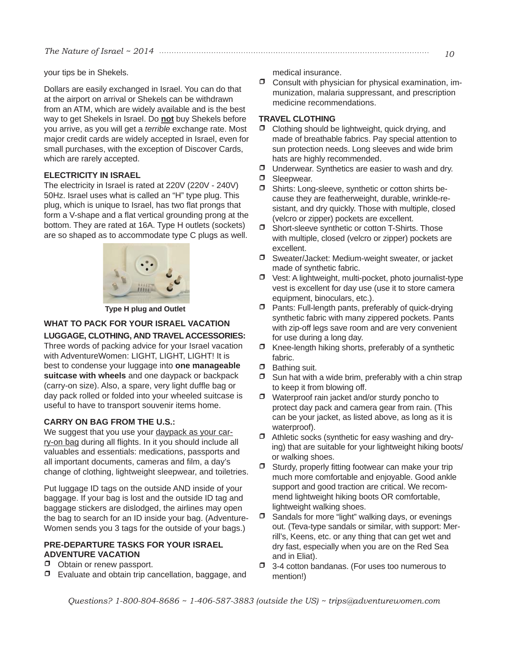your tips be in Shekels.

Dollars are easily exchanged in Israel. You can do that at the airport on arrival or Shekels can be withdrawn from an ATM, which are widely available and is the best way to get Shekels in Israel. Do **not** buy Shekels before you arrive, as you will get a *terrible* exchange rate. Most major credit cards are widely accepted in Israel, even for small purchases, with the exception of Discover Cards, which are rarely accepted.

## **ELECTRICITY IN ISRAEL**

The electricity in Israel is rated at 220V (220V - 240V) 50Hz. Israel uses what is called an "H" type plug. This plug, which is unique to Israel, has two flat prongs that form a V-shape and a flat vertical grounding prong at the bottom. They are rated at 16A. Type H outlets (sockets) are so shaped as to accommodate type C plugs as well.



 **Type H plug and Outlet** 

# **WHAT TO PACK FOR YOUR ISRAEL VACATION**

## **LUGGAGE, CLOTHING, AND TRAVEL ACCESSORIES:**

Three words of packing advice for your Israel vacation with AdventureWomen: LIGHT, LIGHT, LIGHT! It is best to condense your luggage into **one manageable suitcase with wheels** and one daypack or backpack (carry-on size). Also, a spare, very light duffle bag or day pack rolled or folded into your wheeled suitcase is useful to have to transport souvenir items home.

## **CARRY ON BAG FROM THE U.S.:**

We suggest that you use your daypack as your carry-on bag during all flights. In it you should include all valuables and essentials: medications, passports and all important documents, cameras and film, a day's change of clothing, lightweight sleepwear, and toiletries.

Put luggage ID tags on the outside AND inside of your baggage. If your bag is lost and the outside ID tag and baggage stickers are dislodged, the airlines may open the bag to search for an ID inside your bag. (Adventure-Women sends you 3 tags for the outside of your bags.)

## **PRE-DEPARTURE TASKS FOR YOUR ISRAEL ADVENTURE VACATION**

- $\Box$  Obtain or renew passport.
- $\Box$  Evaluate and obtain trip cancellation, baggage, and

medical insurance.

• Consult with physician for physical examination, immunization, malaria suppressant, and prescription medicine recommendations.

## **TRAVEL CLOTHING**

- $\Box$  Clothing should be lightweight, quick drying, and made of breathable fabrics. Pay special attention to sun protection needs. Long sleeves and wide brim hats are highly recommended.
- $\Box$  Underwear. Synthetics are easier to wash and dry.
- **D** Sleepwear.
- Shirts: Long-sleeve, synthetic or cotton shirts because they are featherweight, durable, wrinkle-resistant, and dry quickly. Those with multiple, closed (velcro or zipper) pockets are excellent.
- Short-sleeve synthetic or cotton T-Shirts. Those with multiple, closed (velcro or zipper) pockets are excellent.
- Sweater/Jacket: Medium-weight sweater, or jacket made of synthetic fabric.
- $\Box$  Vest: A lightweight, multi-pocket, photo journalist-type vest is excellent for day use (use it to store camera equipment, binoculars, etc.).
- $\Box$  Pants: Full-length pants, preferably of quick-drying synthetic fabric with many zippered pockets. Pants with zip-off legs save room and are very convenient for use during a long day.
- $\Box$  Knee-length hiking shorts, preferably of a synthetic fabric.
- $\Box$  Bathing suit.
- $\Box$  Sun hat with a wide brim, preferably with a chin strap to keep it from blowing off.
- $\Box$  Waterproof rain jacket and/or sturdy poncho to protect day pack and camera gear from rain. (This can be your jacket, as listed above, as long as it is waterproof).
- $\Box$  Athletic socks (synthetic for easy washing and drying) that are suitable for your lightweight hiking boots/ or walking shoes.
- $\Box$  Sturdy, properly fitting footwear can make your trip much more comfortable and enjoyable. Good ankle support and good traction are critical. We recommend lightweight hiking boots OR comfortable, lightweight walking shoes.
- $\Box$  Sandals for more "light" walking days, or evenings out. (Teva-type sandals or similar, with support: Merrill's, Keens, etc. or any thing that can get wet and dry fast, especially when you are on the Red Sea and in Eliat).
- 3-4 cotton bandanas. (For uses too numerous to mention!)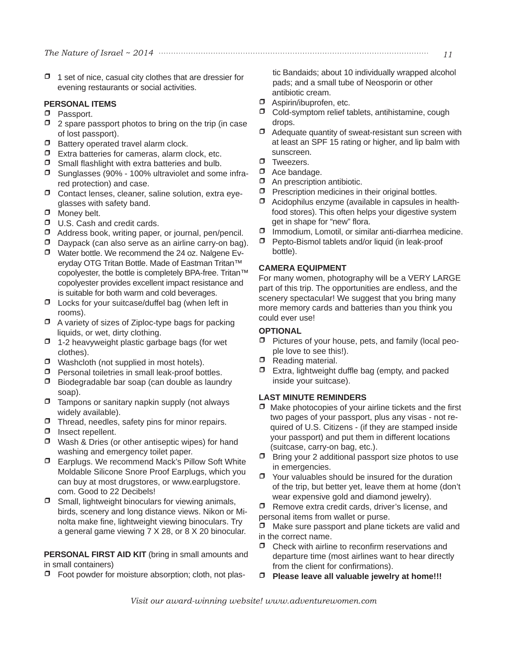$\Box$  1 set of nice, casual city clothes that are dressier for evening restaurants or social activities.

#### **PERSONAL ITEMS**

- **D** Passport.
- $\Box$  2 spare passport photos to bring on the trip (in case of lost passport).
- $\Box$  Battery operated travel alarm clock.
- $\Box$  Extra batteries for cameras, alarm clock, etc.
- $\Box$  Small flashlight with extra batteries and bulb.
- Sunglasses (90% 100% ultraviolet and some infrared protection) and case.
- Contact lenses, cleaner, saline solution, extra eyeglasses with safety band.
- $\Box$  Money belt.
- $\Box$  U.S. Cash and credit cards.
- $\Box$  Address book, writing paper, or journal, pen/pencil.
- $\Box$  Daypack (can also serve as an airline carry-on bag).
- Water bottle. We recommend the 24 oz. Nalgene Everyday OTG Tritan Bottle. Made of Eastman Tritan™ copolyester, the bottle is completely BPA-free. Tritan™ copolyester provides excellent impact resistance and is suitable for both warm and cold beverages.
- $\Box$  Locks for your suitcase/duffel bag (when left in rooms).
- $\Box$  A variety of sizes of Ziploc-type bags for packing liquids, or wet, dirty clothing.
- $\Box$  1-2 heavyweight plastic garbage bags (for wet clothes).
- $\Box$  Washcloth (not supplied in most hotels).
- $\Box$  Personal toiletries in small leak-proof bottles.
- $\Box$  Biodegradable bar soap (can double as laundry soap).
- $\Box$  Tampons or sanitary napkin supply (not always widely available).
- $\Box$  Thread, needles, safety pins for minor repairs.
- $\Box$  Insect repellent.
- $\Box$  Wash & Dries (or other antiseptic wipes) for hand washing and emergency toilet paper.
- Earplugs. We recommend Mack's Pillow Soft White Moldable Silicone Snore Proof Earplugs, which you can buy at most drugstores, or www.earplugstore. com. Good to 22 Decibels!
- $\Box$  Small, lightweight binoculars for viewing animals, birds, scenery and long distance views. Nikon or Minolta make fine, lightweight viewing binoculars. Try a general game viewing 7 X 28, or 8 X 20 binocular.

**PERSONAL FIRST AID KIT** (bring in small amounts and in small containers)

• Foot powder for moisture absorption; cloth, not plas-

tic Bandaids; about 10 individually wrapped alcohol pads; and a small tube of Neosporin or other antibiotic cream.

- $\Box$  Aspirin/ibuprofen, etc.
- $\Box$  Cold-symptom relief tablets, antihistamine, cough drops.
- $\Box$  Adequate quantity of sweat-resistant sun screen with at least an SPF 15 rating or higher, and lip balm with sunscreen.
- **D** Tweezers.
- $\Box$  Ace bandage.
- $\Box$  An prescription antibiotic.
- $\Box$  Prescription medicines in their original bottles.
- Acidophilus enzyme (available in capsules in healthfood stores). This often helps your digestive system get in shape for "new" flora.
- Immodium, Lomotil, or similar anti-diarrhea medicine.
- Pepto-Bismol tablets and/or liquid (in leak-proof bottle).

## **CAMERA EQUIPMENT**

For many women, photography will be a VERY LARGE part of this trip. The opportunities are endless, and the scenery spectacular! We suggest that you bring many more memory cards and batteries than you think you could ever use!

## **OPTIONAL**

- Pictures of your house, pets, and family (local people love to see this!).
- $\Box$  Reading material.
- $\Box$  Extra, lightweight duffle bag (empty, and packed inside your suitcase).

### **LAST MINUTE REMINDERS**

- •Make photocopies of your airline tickets and the first two pages of your passport, plus any visas - not required of U.S. Citizens - (if they are stamped inside your passport) and put them in different locations (suitcase, carry-on bag, etc.).
- $\Box$  Bring your 2 additional passport size photos to use in emergencies.
- $\Box$  Your valuables should be insured for the duration of the trip, but better yet, leave them at home (don't wear expensive gold and diamond jewelry).

 $\Box$  Remove extra credit cards, driver's license, and personal items from wallet or purse.

 $\Box$  Make sure passport and plane tickets are valid and in the correct name.

- $\Box$  Check with airline to reconfirm reservations and departure time (most airlines want to hear directly from the client for confirmations).
- • **Please leave all valuable jewelry at home!!!**